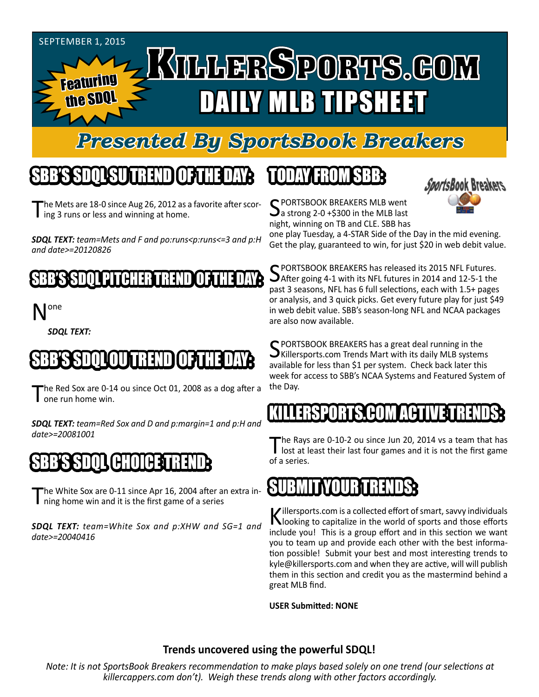#### September 1, 2015

Featuring the SDQ

# **TILLERSPORTS.GOM** DAILY MLB TIPSHEET

## *Presented By SportsBook Breakers*

#### SBB'S SDQL SU TREND OF THE DAY:

he Mets are 18-0 since Aug 26, 2012 as a favorite after scor-I ing 3 runs or less and winning at home.

*SDQL TEXT: team=Mets and F and po:runs<p:runs<=3 and p:H and date>=20120826*

#### B'S SPASH TO LE PITCH HER TRE

one

*SDQL TEXT:* 

## SBB'S SDQLOU TREND OF THE DAY:

The Red Sox are 0-14 ou since Oct 01, 2008 as a dog after a one run home win.

*SDQL TEXT: team=Red Sox and D and p:margin=1 and p:H and date>=20081001*

#### SBB'III (H**a**

The White Sox are 0-11 since Apr 16, 2004 after an extra in-I ning home win and it is the first game of a series

*SDQL TEXT: team=White Sox and p:XHW and SG=1 and date>=20040416*

## TODAY HAOMSBB



C PORTSBOOK BREAKERS MLB went  $\mathbf{\sum}$ a strong 2-0 +\$300 in the MLB last night, winning on TB and CLE. SBB has

one play Tuesday, a 4-STAR Side of the Day in the mid evening. Get the play, guaranteed to win, for just \$20 in web debit value.

SPORTSBOOK BREAKERS has released its 2015 NFL Futures.<br>SAfter going 4-1 with its NFL futures in 2014 and 12-5-1 the past 3 seasons, NFL has 6 full selections, each with 1.5+ pages or analysis, and 3 quick picks. Get every future play for just \$49 in web debit value. SBB's season-long NFL and NCAA packages are also now available.

SPORTSBOOK BREAKERS has a great deal running in the  $\bigcup$ Killersports.com Trends Mart with its daily MLB systems available for less than \$1 per system. Check back later this week for access to SBB's NCAA Systems and Featured System of the Day.

#### LERSPORTS.COM ACT

The Rays are 0-10-2 ou since Jun 20, 2014 vs a team that has lost at least their last four games and it is not the first game of a series.

#### SUBMITYOUR TRENDS:

Killersports.com is a collected effort of smart, savvy individuals<br>Nooking to capitalize in the world of sports and those efforts include you! This is a group effort and in this section we want you to team up and provide each other with the best information possible! Submit your best and most interesting trends to kyle@killersports.com and when they are active, will will publish them in this section and credit you as the mastermind behind a great MLB find.

**USER Submitted: NONE**

#### **Trends uncovered using the powerful SDQL!**

*Note: It is not SportsBook Breakers recommendation to make plays based solely on one trend (our selections at killercappers.com don't). Weigh these trends along with other factors accordingly.*